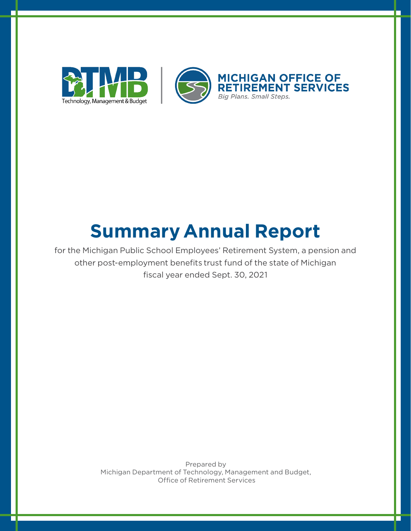

# **Summary Annual Report**

for the Michigan Public School Employees' Retirement System, a pension and other post-employment benefits trust fund of the state of Michigan fiscal year ended Sept. 30, 2021

> Prepared by Michigan Department of Technology, Management and Budget, Office of Retirement Services

г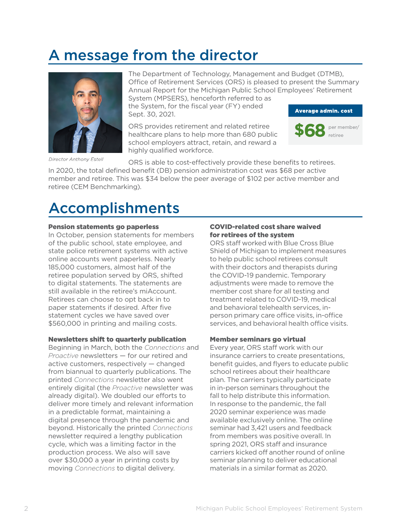## A message from the director



Director Anthony Estell

The Department of Technology, Management and Budget (DTMB), Office of Retirement Services (ORS) is pleased to present the Summary Annual Report for the Michigan Public School Employees' Retirement System (MPSERS), henceforth referred to as

the System, for the fiscal year (FY) ended Sept. 30, 2021.

ORS provides retirement and related retiree healthcare plans to help more than 680 public school employers attract, retain, and reward a highly qualified workforce.





ORS is able to cost-effectively provide these benefits to retirees.

In 2020, the total defined benefit (DB) pension administration cost was \$68 per active member and retiree. This was \$34 below the peer average of \$102 per active member and retiree (CEM Benchmarking).

### Accomplishments

#### Pension statements go paperless

In October, pension statements for members of the public school, state employee, and state police retirement systems with active online accounts went paperless. Nearly 185,000 customers, almost half of the retiree population served by ORS, shifted to digital statements. The statements are still available in the retiree's miAccount. Retirees can choose to opt back in to paper statements if desired. After five statement cycles we have saved over \$560,000 in printing and mailing costs.

#### Newsletters shift to quarterly publication

Beginning in March, both the *Connections* and *Proactive* newsletters — for our retired and active customers, respectively — changed from biannual to quarterly publications. The printed *Connections* newsletter also went entirely digital (the *Proactive* newsletter was already digital). We doubled our efforts to deliver more timely and relevant information in a predictable format, maintaining a digital presence through the pandemic and beyond. Historically the printed *Connections* newsletter required a lengthy publication cycle, which was a limiting factor in the production process. We also will save over \$30,000 a year in printing costs by moving *Connections* to digital delivery.

### COVID-related cost share waived for retirees of the system

ORS staff worked with Blue Cross Blue Shield of Michigan to implement measures to help public school retirees consult with their doctors and therapists during the COVID-19 pandemic. Temporary adjustments were made to remove the member cost share for all testing and treatment related to COVID-19, medical and behavioral telehealth services, inperson primary care office visits, in-office services, and behavioral health office visits.

### Member seminars go virtual

Every year, ORS staff work with our insurance carriers to create presentations, benefit guides, and flyers to educate public school retirees about their healthcare plan. The carriers typically participate in in-person seminars throughout the fall to help distribute this information. In response to the pandemic, the fall 2020 seminar experience was made available exclusively online. The online seminar had 3,421 users and feedback from members was positive overall. In spring 2021, ORS staff and insurance carriers kicked off another round of online seminar planning to deliver educational materials in a similar format as 2020.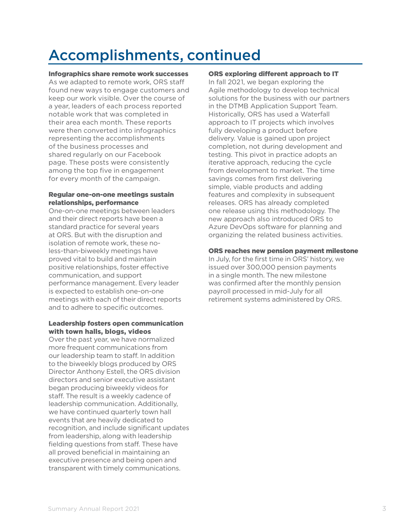## Accomplishments, continued

Infographics share remote work successes

As we adapted to remote work, ORS staff found new ways to engage customers and keep our work visible. Over the course of a year, leaders of each process reported notable work that was completed in their area each month. These reports were then converted into infographics representing the accomplishments of the business processes and shared regularly on our Facebook page. These posts were consistently among the top five in engagement for every month of the campaign.

#### Regular one-on-one meetings sustain relationships, performance

One-on-one meetings between leaders and their direct reports have been a standard practice for several years at ORS. But with the disruption and isolation of remote work, these noless-than-biweekly meetings have proved vital to build and maintain positive relationships, foster effective communication, and support performance management. Every leader is expected to establish one-on-one meetings with each of their direct reports and to adhere to specific outcomes.

#### Leadership fosters open communication with town halls, blogs, videos

Over the past year, we have normalized more frequent communications from our leadership team to staff. In addition to the biweekly blogs produced by ORS Director Anthony Estell, the ORS division directors and senior executive assistant began producing biweekly videos for staff. The result is a weekly cadence of leadership communication. Additionally, we have continued quarterly town hall events that are heavily dedicated to recognition, and include significant updates from leadership, along with leadership fielding questions from staff. These have all proved beneficial in maintaining an executive presence and being open and transparent with timely communications.

#### ORS exploring different approach to IT

In fall 2021, we began exploring the Agile methodology to develop technical solutions for the business with our partners in the DTMB Application Support Team. Historically, ORS has used a Waterfall approach to IT projects which involves fully developing a product before delivery. Value is gained upon project completion, not during development and testing. This pivot in practice adopts an iterative approach, reducing the cycle from development to market. The time savings comes from first delivering simple, viable products and adding features and complexity in subsequent releases. ORS has already completed one release using this methodology. The new approach also introduced ORS to Azure DevOps software for planning and organizing the related business activities.

#### ORS reaches new pension payment milestone

In July, for the first time in ORS' history, we issued over 300,000 pension payments in a single month. The new milestone was confirmed after the monthly pension payroll processed in mid-July for all retirement systems administered by ORS.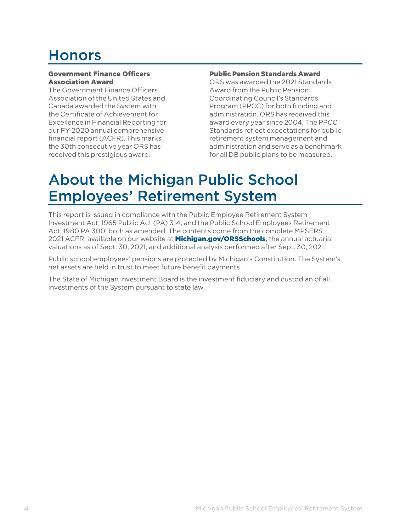## Honors

#### Government Finance Officers Association Award

The Government Finance Officers Association of the United States and Canada awarded the System with the Certificate of Achievement for Excellence in Financial Reporting for our FY 2020 annual comprehensive financial report (ACFR). This marks the 30th consecutive year ORS has received this prestigious award.

#### Public Pension Standards Award

ORS was awarded the 2021 Standards Award from the Public Pension Coordinating Council's Standards Program (PPCC) for both funding and administration. ORS has received this award every year since 2004. The PPCC Standards reflect expectations for public retirement system management and administration and serve as a benchmark for all DB public plans to be measured.

### About the Michigan Public School Employees' Retirement System

This report is issued in compliance with the Public Employee Retirement System Investment Act, 1965 Public Act (PA) 314, and the Public School Employees Retirement Act, 1980 PA 300, both as amended. The contents come from the complete MPSERS 2021 ACFR, available on our website at **[Michigan.gov/ORSSchools](http://www.michigan.gov/orsschools)**, the annual actuarial valuations as of Sept. 30, 2021, and additional analysis performed after Sept. 30, 2021.

Public school employees' pensions are protected by Michigan's Constitution. The System's net assets are held in trust to meet future benefit payments.

The State of Michigan Investment Board is the investment fiduciary and custodian of all investments of the System pursuant to state law.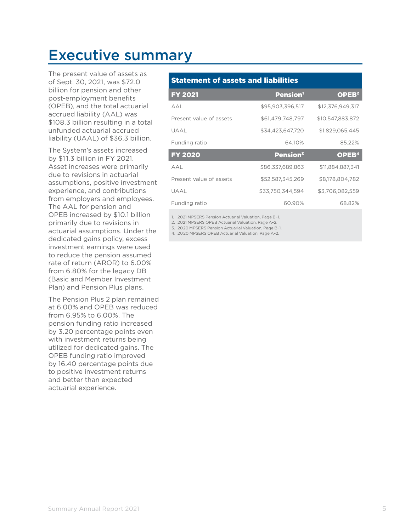### Executive summary

The present value of assets as of Sept. 30, 2021, was \$72.0 billion for pension and other post-employment benefits (OPEB), and the total actuarial accrued liability (AAL) was \$108.3 billion resulting in a total unfunded actuarial accrued liability (UAAL) of \$36.3 billion.

The System's assets increased by \$11.3 billion in FY 2021. Asset increases were primarily due to revisions in actuarial assumptions, positive investment experience, and contributions from employers and employees. The AAL for pension and OPEB increased by \$10.1 billion primarily due to revisions in actuarial assumptions. Under the dedicated gains policy, excess investment earnings were used to reduce the pension assumed rate of return (AROR) to 6.00% from 6.80% for the legacy DB (Basic and Member Investment Plan) and Pension Plus plans.

The Pension Plus 2 plan remained at 6.00% and OPEB was reduced from 6.95% to 6.00%. The pension funding ratio increased by 3.20 percentage points even with investment returns being utilized for dedicated gains. The OPEB funding ratio improved by 16.40 percentage points due to positive investment returns and better than expected actuarial experience.

### Statement of assets and liabilities

| <b>FY 2021</b>          | <b>Pension</b> <sup>1</sup> | OPEB <sup>2</sup> |
|-------------------------|-----------------------------|-------------------|
| AAL                     | \$95,903,396,517            | \$12,376,949,317  |
| Present value of assets | \$61,479,748,797            | \$10,547,883,872  |
| UAAL                    | \$34,423,647,720            | \$1,829,065,445   |
| Funding ratio           | 64.10%                      | 85.22%            |
|                         |                             |                   |
| <b>FY 2020</b>          | Pension <sup>3</sup>        | OPEB <sup>4</sup> |
| A A I                   | \$86,337,689,863            | \$11,884,887,341  |
| Present value of assets | \$52,587,345,269            | \$8.178.804.782   |
| UAAL                    | \$33.750.344.594            | \$3.706.082.559   |

1. 2021 MPSERS Pension Actuarial Valuation, Page B–1.

2. 2021 MPSERS OPEB Actuarial Valuation, Page A–2.

3. 2020 MPSERS Pension Actuarial Valuation, Page B–1.

4. 2020 MPSERS OPEB Actuarial Valuation, Page A–2.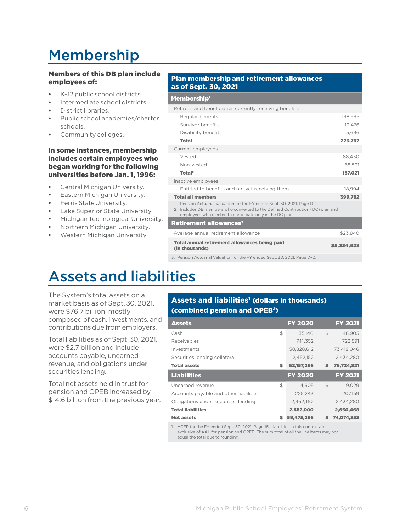## Membership

### Members of this DB plan include employees of:

- K–12 public school districts.
- Intermediate school districts.
- District libraries.
- Public school academies/charter schools.
- Community colleges.

#### In some instances, membership includes certain employees who began working for the following universities before Jan. 1, 1996:

- Central Michigan University.
- Eastern Michigan University.
- Ferris State University.
- Lake Superior State University.
- Michigan Technological University.
- Northern Michigan University.
- Western Michigan University.

#### Plan membership and retirement allowances as of Sept. 30, 2021

#### Membership<sup>1</sup>

| Retirees and beneficiaries currently receiving benefits                                                                                                                                                                               |             |
|---------------------------------------------------------------------------------------------------------------------------------------------------------------------------------------------------------------------------------------|-------------|
| Regular benefits                                                                                                                                                                                                                      | 198.595     |
| Survivor benefits                                                                                                                                                                                                                     | 19.476      |
| Disability benefits                                                                                                                                                                                                                   | 5.696       |
| <b>Total</b>                                                                                                                                                                                                                          | 223,767     |
| Current employees                                                                                                                                                                                                                     |             |
| Vested                                                                                                                                                                                                                                | 88,430      |
| Non-vested                                                                                                                                                                                                                            | 68,591      |
| Total <sup>2</sup>                                                                                                                                                                                                                    | 157,021     |
| Inactive employees                                                                                                                                                                                                                    |             |
| Entitled to benefits and not yet receiving them                                                                                                                                                                                       | 18.994      |
| <b>Total all members</b>                                                                                                                                                                                                              | 399,782     |
| Pension Actuarial Valuation for the FY ended Sept. 30, 2021, Page D-1.<br>$\mathbf{1}$<br>2. Includes DB members who converted to the Defined Contribution (DC) plan and<br>employees who elected to participate only in the DC plan. |             |
| Retirement allowances $\boldsymbol{\mathrm{s}}$                                                                                                                                                                                       |             |
| Average annual retirement allowance                                                                                                                                                                                                   | \$23.840    |
| Total annual retirement allowances being paid<br>(in thousands)                                                                                                                                                                       | \$5,334,628 |

3. Pension Actuarial Valuation for the FY ended Sept. 30, 2021, Page D–2.

## Assets and liabilities

The System's total assets on a market basis as of Sept.30, 2021, were \$76.7 billion, mostly composed of cash, investments, and contributions due from employers.

Total liabilities as of Sept.30, 2021, were \$2.7 billion and include accounts payable, unearned revenue, and obligations under securities lending.

Total net assets held in trust for pension and OPEB increased by \$14.6 billion from the previous year.

### Assets and liabilities<sup>1</sup> (dollars in thousands) (combined pension and OPEB2)

| <b>Assets</b>                          | <b>FY 2020</b>   |                | <b>FY 2021</b> |
|----------------------------------------|------------------|----------------|----------------|
| Cash                                   | \$<br>135.140    | \$             | 148.905        |
| Receivables                            | 741.352          |                | 722.591        |
| Investments                            | 58.828.612       |                | 73.419.046     |
| Securities lending collateral          | 2.452.152        |                | 2.434.280      |
| <b>Total assets</b>                    | \$<br>62,157,256 | \$             | 76,724,821     |
|                                        |                  |                |                |
| <b>Liabilities</b>                     | <b>FY 2020</b>   |                | <b>FY 2021</b> |
| Unearned revenue                       | \$<br>4.605      | $\mathfrak{L}$ | 9.029          |
| Accounts payable and other liabilities | 225.243          |                | 207.159        |
| Obligations under securities lending   | 2,452,152        |                | 2.434.280      |
| <b>Total liabilities</b>               | 2,682,000        |                | 2,650,468      |

1. ACFR for the FY ended Sept. 30, 2021, Page 15. Liabilities in this context are exclusive of AAL for pension and OPEB. The sum total of all the line items may not equal the total due to rounding.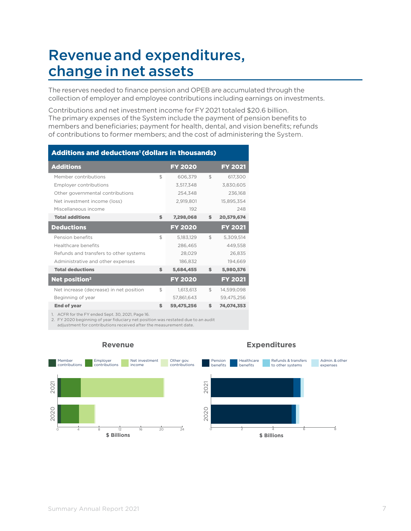### Revenue and expenditures, change in net assets

The reserves needed to finance pension and OPEB are accumulated through the collection of employer and employee contributions including earnings on investments.

Contributions and net investment income for FY2021 totaled \$20.6 billion. The primary expenses of the System include the payment of pension benefits to members and beneficiaries; payment for health, dental, and vision benefits; refunds of contributions to former members; and the cost of administering the System.

| <b>Additions and deductions<sup>1</sup> (dollars in thousands)</b> |                |                |                |                |
|--------------------------------------------------------------------|----------------|----------------|----------------|----------------|
| <b>Additions</b>                                                   |                | <b>FY 2020</b> |                | <b>FY 2021</b> |
| Member contributions                                               | $\mathbb{S}$   | 606.379        | $\mathfrak{L}$ | 617,300        |
| <b>Employer contributions</b>                                      |                | 3.517.348      |                | 3.830.605      |
| Other governmental contributions                                   |                | 254,348        |                | 236,168        |
| Net investment income (loss)                                       |                | 2,919,801      |                | 15,895,354     |
| Miscellaneous income                                               |                | 192            |                | 248            |
| <b>Total additions</b>                                             | \$             | 7,298,068      | S              | 20,579,674     |
| <b>Deductions</b>                                                  |                | <b>FY 2020</b> |                | <b>FY 2021</b> |
| Pension benefits                                                   | $\mathfrak{F}$ | 5.183.129      | \$             | 5,309,514      |
| Healthcare benefits                                                |                | 286.465        |                | 449.558        |
| Refunds and transfers to other systems                             |                | 28,029         |                | 26,835         |
| Administrative and other expenses                                  |                | 186,832        |                | 194,669        |
| <b>Total deductions</b>                                            | \$             | 5,684,455      | \$             | 5,980,576      |
| Net position <sup>2</sup>                                          |                | <b>FY 2020</b> |                | <b>FY 2021</b> |
| Net increase (decrease) in net position                            | \$             | 1,613,613      | \$             | 14,599,098     |
| Beginning of year                                                  |                | 57.861.643     |                | 59,475,256     |
| <b>End of year</b>                                                 | \$             | 59,475,256     | \$.            | 74.074.353     |
|                                                                    |                |                |                |                |

1. ACFR for the FY ended Sept. 30, 2021, Page 16.

2. FY 2020 beginning of year fiduciary net position was restated due to an audit

adjustment for contributions received after the measurement date.



#### **Revenue**

#### **Expenditures**

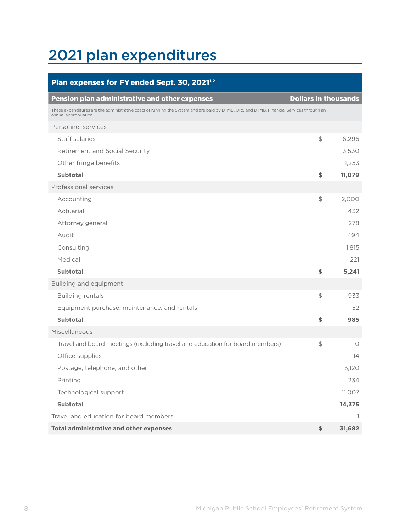## 2021 plan expenditures

| Plan expenses for FY ended Sept. 30, 2021 <sup>1,2</sup>                                                                                                         |                             |        |
|------------------------------------------------------------------------------------------------------------------------------------------------------------------|-----------------------------|--------|
| <b>Pension plan administrative and other expenses</b>                                                                                                            | <b>Dollars in thousands</b> |        |
| These expenditures are the administrative costs of running the System and are paid by DTMB, ORS and DTMB, Financial Services through an<br>annual appropriation. |                             |        |
| Personnel services                                                                                                                                               |                             |        |
| Staff salaries                                                                                                                                                   | $\frac{1}{2}$               | 6,296  |
| Retirement and Social Security                                                                                                                                   |                             | 3,530  |
| Other fringe benefits                                                                                                                                            |                             | 1,253  |
| <b>Subtotal</b>                                                                                                                                                  | \$                          | 11,079 |
| Professional services                                                                                                                                            |                             |        |
| Accounting                                                                                                                                                       | \$                          | 2,000  |
| Actuarial                                                                                                                                                        |                             | 432    |
| Attorney general                                                                                                                                                 |                             | 278    |
| Audit                                                                                                                                                            |                             | 494    |
| Consulting                                                                                                                                                       |                             | 1,815  |
| Medical                                                                                                                                                          |                             | 221    |
| <b>Subtotal</b>                                                                                                                                                  | \$                          | 5,241  |
| Building and equipment                                                                                                                                           |                             |        |
| <b>Building rentals</b>                                                                                                                                          | $\frac{1}{2}$               | 933    |
| Equipment purchase, maintenance, and rentals                                                                                                                     |                             | 52     |
| <b>Subtotal</b>                                                                                                                                                  | \$                          | 985    |
| Miscellaneous                                                                                                                                                    |                             |        |
| Travel and board meetings (excluding travel and education for board members)                                                                                     | \$                          | 0      |
| Office supplies                                                                                                                                                  |                             | 14     |
| Postage, telephone, and other                                                                                                                                    |                             | 3,120  |
| Printing                                                                                                                                                         |                             | 234    |
| Technological support                                                                                                                                            |                             | 11,007 |
| <b>Subtotal</b>                                                                                                                                                  |                             | 14,375 |
| Travel and education for board members                                                                                                                           |                             | -1     |
| <b>Total administrative and other expenses</b>                                                                                                                   | \$                          | 31,682 |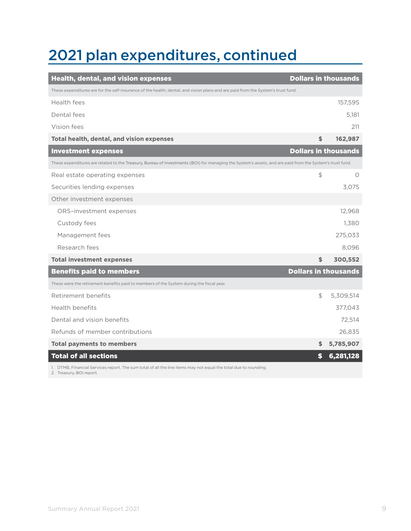# 2021 plan expenditures, continued

| <b>Health, dental, and vision expenses</b>                                                                                                               | <b>Dollars in thousands</b> |           |
|----------------------------------------------------------------------------------------------------------------------------------------------------------|-----------------------------|-----------|
| These expenditures are for the self-insurance of the health, dental, and vision plans and are paid from the System's trust fund.                         |                             |           |
| Health fees                                                                                                                                              |                             | 157,595   |
| Dental fees                                                                                                                                              |                             | 5.181     |
| Vision fees                                                                                                                                              |                             | 211       |
| Total health, dental, and vision expenses                                                                                                                | \$                          | 162,987   |
| <b>Investment expenses</b>                                                                                                                               | <b>Dollars in thousands</b> |           |
| These expenditures are related to the Treasury, Bureau of Investments (BOI) for managing the System's assets, and are paid from the System's trust fund. |                             |           |
| Real estate operating expenses                                                                                                                           | \$                          | O         |
| Securities lending expenses                                                                                                                              |                             | 3,075     |
| Other investment expenses                                                                                                                                |                             |           |
| ORS-investment expenses                                                                                                                                  |                             | 12,968    |
| Custody fees                                                                                                                                             |                             | 1,380     |
| Management fees                                                                                                                                          |                             | 275,033   |
| Research fees                                                                                                                                            |                             | 8,096     |
| <b>Total investment expenses</b>                                                                                                                         | \$                          | 300,552   |
| <b>Benefits paid to members</b>                                                                                                                          | <b>Dollars in thousands</b> |           |
| These were the retirement benefits paid to members of the System during the fiscal year.                                                                 |                             |           |
| Retirement benefits                                                                                                                                      | \$                          | 5,309,514 |
| Health benefits                                                                                                                                          |                             | 377,043   |
| Dental and vision benefits                                                                                                                               |                             | 72,514    |
| Refunds of member contributions                                                                                                                          |                             | 26,835    |
| <b>Total payments to members</b>                                                                                                                         | \$                          | 5,785,907 |
| <b>Total of all sections</b>                                                                                                                             | \$                          | 6,281,128 |
| 1. DTMB, Financial Services report. The sum total of all the line items may not equal the total due to rounding.<br>2. Treasury, BOI report.             |                             |           |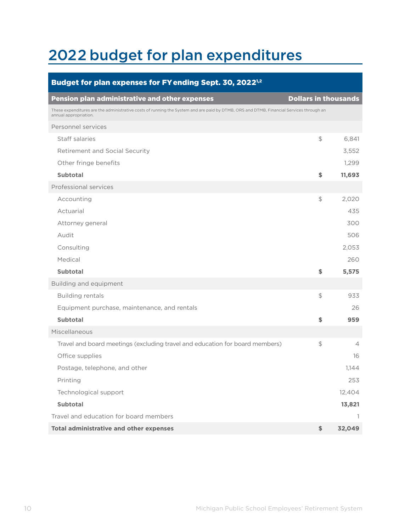## 2022 budget for plan expenditures

| Budget for plan expenses for FY ending Sept. 30, 2022 <sup>1,2</sup>                                                                                             |                             |        |
|------------------------------------------------------------------------------------------------------------------------------------------------------------------|-----------------------------|--------|
| <b>Pension plan administrative and other expenses</b>                                                                                                            | <b>Dollars in thousands</b> |        |
| These expenditures are the administrative costs of running the System and are paid by DTMB, ORS and DTMB, Financial Services through an<br>annual appropriation. |                             |        |
| Personnel services                                                                                                                                               |                             |        |
| Staff salaries                                                                                                                                                   | $\frac{1}{2}$               | 6,841  |
| Retirement and Social Security                                                                                                                                   |                             | 3,552  |
| Other fringe benefits                                                                                                                                            |                             | 1,299  |
| <b>Subtotal</b>                                                                                                                                                  | \$                          | 11,693 |
| Professional services                                                                                                                                            |                             |        |
| Accounting                                                                                                                                                       | \$                          | 2,020  |
| Actuarial                                                                                                                                                        |                             | 435    |
| Attorney general                                                                                                                                                 |                             | 300    |
| Audit                                                                                                                                                            |                             | 506    |
| Consulting                                                                                                                                                       |                             | 2,053  |
| Medical                                                                                                                                                          |                             | 260    |
| <b>Subtotal</b>                                                                                                                                                  | \$                          | 5,575  |
| Building and equipment                                                                                                                                           |                             |        |
| <b>Building rentals</b>                                                                                                                                          | $\frac{1}{2}$               | 933    |
| Equipment purchase, maintenance, and rentals                                                                                                                     |                             | 26     |
| <b>Subtotal</b>                                                                                                                                                  | \$                          | 959    |
| Miscellaneous                                                                                                                                                    |                             |        |
| Travel and board meetings (excluding travel and education for board members)                                                                                     | $$\mathbb{S}$$              | 4      |
| Office supplies                                                                                                                                                  |                             | 16     |
| Postage, telephone, and other                                                                                                                                    |                             | 1,144  |
| Printing                                                                                                                                                         |                             | 253    |
| Technological support                                                                                                                                            |                             | 12,404 |
| <b>Subtotal</b>                                                                                                                                                  |                             | 13,821 |
| Travel and education for board members                                                                                                                           |                             | 1      |
| <b>Total administrative and other expenses</b>                                                                                                                   | \$                          | 32,049 |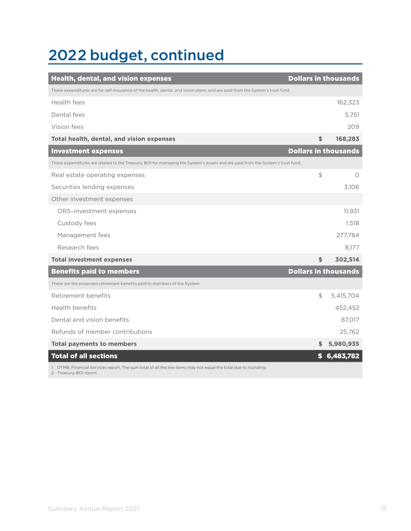## 2022 budget, continued

| <b>Health, dental, and vision expenses</b>                                                                                                   | <b>Dollars in thousands</b> |           |
|----------------------------------------------------------------------------------------------------------------------------------------------|-----------------------------|-----------|
| These expenditures are for self-insurance of the health, dental, and vision plans, and are paid from the System's trust fund.                |                             |           |
| Health fees                                                                                                                                  |                             | 162,323   |
| Dental fees                                                                                                                                  |                             | 5,751     |
| Vision fees                                                                                                                                  |                             | 209       |
| Total health, dental, and vision expenses                                                                                                    | \$                          | 168,283   |
| <b>Investment expenses</b>                                                                                                                   | <b>Dollars in thousands</b> |           |
| These expenditures are related to the Treasury, BOI for managing the System's assets and are paid from the System's trust fund.              |                             |           |
| Real estate operating expenses                                                                                                               | $\mathfrak{P}$              | 0         |
| Securities lending expenses                                                                                                                  |                             | 3,106     |
| Other investment expenses                                                                                                                    |                             |           |
| ORS-investment expenses                                                                                                                      |                             | 11,931    |
| Custody fees                                                                                                                                 |                             | 1,518     |
| Management fees                                                                                                                              |                             | 277,784   |
| Research fees                                                                                                                                |                             | 8.177     |
| <b>Total investment expenses</b>                                                                                                             | \$                          | 302,514   |
| <b>Benefits paid to members</b>                                                                                                              | <b>Dollars in thousands</b> |           |
| These are the projected retirement benefits paid to members of the System.                                                                   |                             |           |
| Retirement benefits                                                                                                                          | \$                          | 5,415,704 |
| <b>Health benefits</b>                                                                                                                       |                             | 452,452   |
| Dental and vision benefits                                                                                                                   |                             | 87,017    |
| Refunds of member contributions                                                                                                              |                             | 25,762    |
| <b>Total payments to members</b>                                                                                                             | S                           | 5,980,935 |
| <b>Total of all sections</b>                                                                                                                 | S                           | 6,483,782 |
| 1. DTMB, Financial Services report. The sum total of all the line items may not equal the total due to rounding.<br>2. Treasury. BOI report. |                             |           |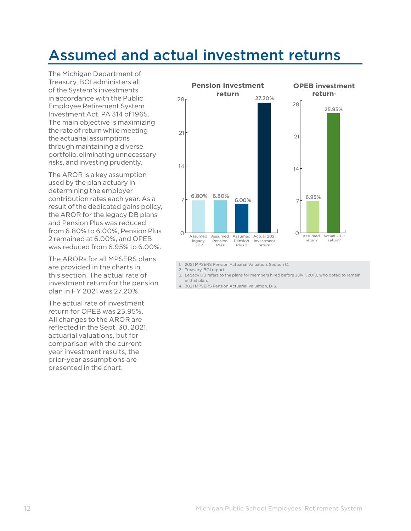### Assumed and actual investment returns

The Michigan Department of Treasury, BOI administers all of the System's investments in accordance with the Public Employee Retirement System Investment Act, PA 314 of 1965. The main objective is maximizing the rate of return while meeting the actuarial assumptions through maintaining a diverse portfolio, eliminating unnecessary risks, and investing prudently.

The AROR is a key assumption used by the plan actuary in determining the employer contribution rates each year. As a result of the dedicated gains policy, the AROR for the legacy DB plans and Pension Plus was reduced from 6.80% to 6.00%, Pension Plus 2 remained at 6.00%, and OPEB was reduced from 6.95% to 6.00%.

The ARORs for all MPSERS plans are provided in the charts in this section. The actual rate of investment return for the pension plan in FY 2021 was 27.20%.

The actual rate of investment return for OPEB was 25.95%. All changes to the AROR are reflected in the Sept. 30, 2021, actuarial valuations, but for comparison with the current year investment results, the prior-year assumptions are presented in the chart.



1. 2021 MPSERS Pension Actuarial Valuation, Section C.

2. Treasury, BOI report.

- 3. Legacy DB refers to the plans for members hired before July 1, 2010, who opted to remain in that plan.
- 4. 2021 MPSERS Pension Actuarial Valuation, D-3.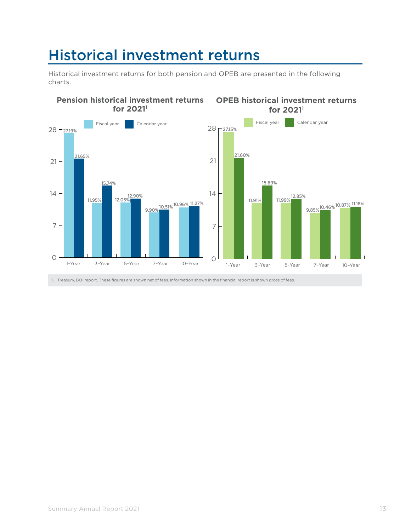### Historical investment returns

Historical investment returns for both pension and OPEB are presented in the following charts.



1. Treasury, BOI report. These figures are shown net of fees. Information shown in the financial report is shown gross of fees.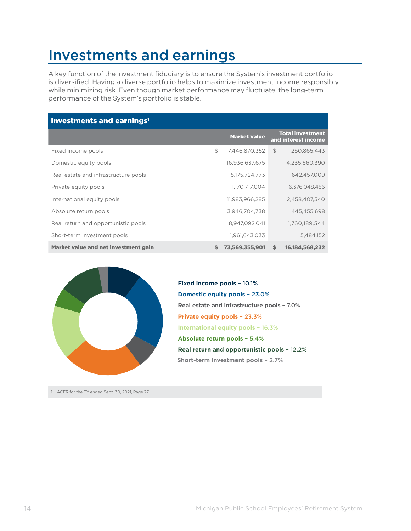### Investments and earnings

A key function of the investment fiduciary is to ensure the System's investment portfolio is diversified. Having a diverse portfolio helps to maximize investment income responsibly while minimizing risk. Even though market performance may fluctuate, the long-term performance of the System's portfolio is stable.

| Investments and earnings <sup>1</sup>       |    |                     |                                                |
|---------------------------------------------|----|---------------------|------------------------------------------------|
|                                             |    | <b>Market value</b> | <b>Total investment</b><br>and interest income |
| Fixed income pools                          | \$ | 7,446,870,352       | $\mathcal{F}$<br>260.865.443                   |
| Domestic equity pools                       |    | 16,936,637,675      | 4,235,660,390                                  |
| Real estate and infrastructure pools        |    | 5,175,724,773       | 642,457,009                                    |
| Private equity pools                        |    | 11,170,717,004      | 6,376,048,456                                  |
| International equity pools                  |    | 11,983,966,285      | 2,458,407,540                                  |
| Absolute return pools                       |    | 3,946,704,738       | 445,455,698                                    |
| Real return and opportunistic pools         |    | 8,947,092,041       | 1,760,189,544                                  |
| Short-term investment pools                 |    | 1,961,643,033       | 5,484,152                                      |
| <b>Market value and net investment gain</b> | s  | 73,569,355,901      | 16,184,568,232<br>S                            |



**Domestic equity pools** – 23.0% **Private equity pools** – 23.3% **International equity pools** – 16.3% **Real estate and infrastructure pools** – 7.0% **Absolute return pools** – 5.4% **Real return and opportunistic pools** – 12.2% **Fixed income pools** – 10.1% **Short-term investment pools** – 2.7%

1. ACFR for the FY ended Sept. 30, 2021, Page 77.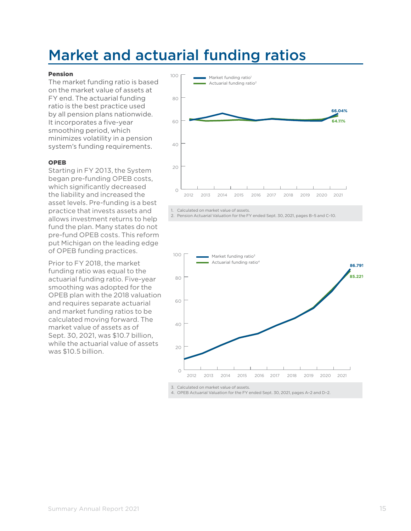### Market and actuarial funding ratios

#### Pension

The market funding ratio is based on the market value of assets at FY end. The actuarial funding ratio is the best practice used by all pension plans nationwide. It incorporates a five-year smoothing period, which minimizes volatility in a pension system's funding requirements.

#### OPEB

Starting in FY 2013, the System began pre-funding OPEB costs, which significantly decreased the liability and increased the asset levels. Pre-funding is a best practice that invests assets and allows investment returns to help fund the plan. Many states do not pre-fund OPEB costs. This reform put Michigan on the leading edge of OPEB funding practices.

Prior to FY 2018, the market funding ratio was equal to the actuarial funding ratio. Five-year smoothing was adopted for the OPEB plan with the 2018 valuation and requires separate actuarial and market funding ratios to be calculated moving forward. The market value of assets as of Sept. 30, 2021, was \$10.7 billion, while the actuarial value of assets was \$10.5 billion.



1. Calculated on market value of assets.

2. Pension Actuarial Valuation for the FY ended Sept. 30, 2021, pages B–5 and C–10.



3. Calculated on market value of assets.

4. OPEB Actuarial Valuation for the FY ended Sept. 30, 2021, pages A–2 and D–2.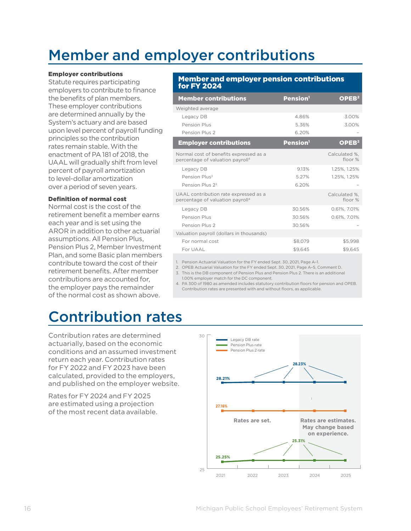## Member and employer contributions

#### Employer contributions

Statute requires participating employers to contribute to finance the benefits of plan members. These employer contributions are determined annually by the System's actuary and are based upon level percent of payroll funding principles so the contribution rates remain stable. With the enactment of PA 181 of 2018, the UAAL will gradually shift from level percent of payroll amortization to level-dollar amortization over a period of seven years.

#### Definition of normal cost

Normal cost is the cost of the retirement benefit a member earns each year and is set using the AROR in addition to other actuarial assumptions. All Pension Plus, Pension Plus 2, Member Investment Plan, and some Basic plan members contribute toward the cost of their retirement benefits. After member contributions are accounted for, the employer pays the remainder of the normal cost as shown above.

#### Member and employer pension contributions for FY 2024

| <b>Member contributions</b>                                                            | <b>Pension</b> <sup>1</sup> | OPEB <sup>2</sup>        |
|----------------------------------------------------------------------------------------|-----------------------------|--------------------------|
| Weighted average                                                                       |                             |                          |
| Legacy DB                                                                              | 486%                        | 3.00%                    |
| Pension Plus                                                                           | 5.36%                       | 3.00%                    |
| Pension Plus 2                                                                         | 6.20%                       |                          |
| <b>Employer contributions</b>                                                          | Pension <sup>1</sup>        | OPEB <sup>2</sup>        |
| Normal cost of benefits expressed as a<br>percentage of valuation payroll <sup>4</sup> |                             | Calculated %.<br>floor % |
| Legacy DB                                                                              | 9.13%                       | 1.25%, 1.25%             |
| Pension Plus <sup>3</sup>                                                              | 5.27%                       | 1.25%, 1.25%             |
| Pension Plus 23                                                                        | 6.20%                       |                          |
| UAAL contribution rate expressed as a<br>percentage of valuation payroll <sup>4</sup>  |                             | Calculated %.<br>floor % |
| Legacy DB                                                                              | 30.56%                      | 0.61%, 7.01%             |
| Pension Plus                                                                           | 30.56%                      | 0.61%, 7.01%             |
| Pension Plus 2                                                                         | 30.56%                      |                          |
| Valuation payroll (dollars in thousands)                                               |                             |                          |
| For normal cost                                                                        | \$8,079                     | \$5,998                  |
| For UAAL                                                                               | \$9.645                     | \$9.645                  |

1. Pension Actuarial Valuation for the FY ended Sept. 30, 2021, Page A–1.

2. OPEB Actuarial Valuation for the FY ended Sept. 30, 2021, Page A–5, Comment D.

3. This is the DB component of Pension Plus and Pension Plus 2. There is an additional 1.00% employer match for the DC component.

4. PA 300 of 1980 as amended includes statutory contribution floors for pension and OPEB. Contribution rates are presented with and without floors, as applicable.

### Contribution rates

Contribution rates are determined actuarially, based on the economic conditions and an assumed investment return each year. Contribution rates for FY 2022 and FY 2023 have been calculated, provided to the employers, and published on the employer website.

Rates for FY 2024 and FY 2025 are estimated using a projection of the most recent data available.

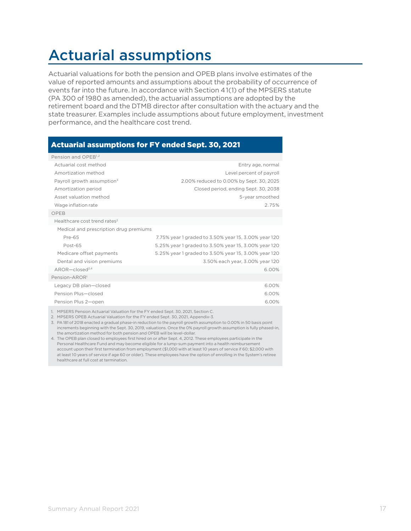## Actuarial assumptions

Actuarial valuations for both the pension and OPEB plans involve estimates of the value of reported amounts and assumptions about the probability of occurrence of events far into the future. In accordance with Section 41(1) of the MPSERS statute (PA 300 of 1980 as amended), the actuarial assumptions are adopted by the retirement board and the DTMB director after consultation with the actuary and the state treasurer. Examples include assumptions about future employment, investment performance, and the healthcare cost trend.

### Actuarial assumptions for FY ended Sept. 30, 2021

| Pension and OPEB <sup>1,2</sup>                                                   |                                                      |
|-----------------------------------------------------------------------------------|------------------------------------------------------|
| Actuarial cost method                                                             | Entry age, normal                                    |
| Amortization method                                                               | Level percent of payroll                             |
| Payroll growth assumption <sup>3</sup>                                            | 2.00% reduced to 0.00% by Sept. 30, 2025             |
| Amortization period                                                               | Closed period, ending Sept. 30, 2038                 |
| Asset valuation method                                                            | 5-year smoothed                                      |
| Wage inflation rate                                                               | 2.75%                                                |
| OPEB                                                                              |                                                      |
| Healthcare cost trend rates <sup>2</sup>                                          |                                                      |
| Medical and prescription drug premiums                                            |                                                      |
| Pre-65                                                                            | 7.75% year 1 graded to 3.50% year 15, 3.00% year 120 |
| Post-65                                                                           | 5.25% year 1 graded to 3.50% year 15, 3.00% year 120 |
| Medicare offset payments                                                          | 5.25% year 1 graded to 3.50% year 15, 3.00% year 120 |
| Dental and vision premiums                                                        | 3.50% each year, 3.00% year 120                      |
| $AROR - closed2,4$                                                                | 6.00%                                                |
| Pension-AROR <sup>1</sup>                                                         |                                                      |
| Legacy DB plan-closed                                                             | 6.00%                                                |
| Pension Plus-closed                                                               | 6.00%                                                |
| Pension Plus 2-open                                                               | 6.00%                                                |
| 1. MPSERS Pension Actuarial Valuation for the FY ended Sept. 30, 2021, Section C. |                                                      |

2. MPSERS OPEB Actuarial Valuation for the FY ended Sept. 30, 2021, Appendix-3.

3. PA 181 of 2018 enacted a gradual phase-in reduction to the payroll growth assumption to 0.00% in 50 basis point increments beginning with the Sept. 30, 2019, valuations. Once the 0% payroll growth assumption is fully phased-in, the amortization method for both pension and OPEB will be level-dollar.

4. The OPEB plan closed to employees first hired on or after Sept. 4, 2012. These employees participate in the Personal Healthcare Fund and may become eligible for a lump-sum payment into a health reimbursement account upon their first termination from employment (\$1,000 with at least 10 years of service if 60; \$2,000 with at least 10 years of service if age 60 or older). These employees have the option of enrolling in the System's retiree healthcare at full cost at termination.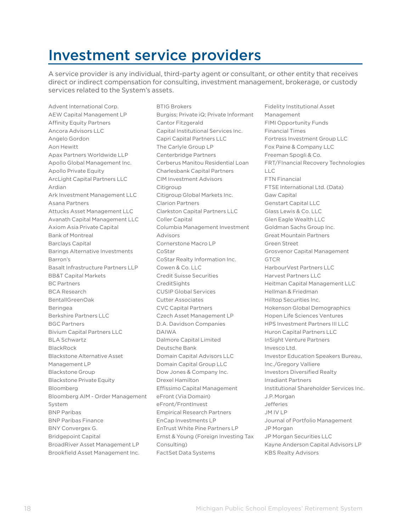### Investment service providers

A service provider is any individual, third-party agent or consultant, or other entity that receives direct or indirect compensation for consulting, investment management, brokerage, or custody services related to the System's assets.

Advent International Corp. AEW Capital Management LP Affinity Equity Partners Ancora Advisors LLC Angelo Gordon Aon Hewitt Apax Partners Worldwide LLP Apollo Global Management Inc. Apollo Private Equity ArcLight Capital Partners LLC Ardian Ark Investment Management LLC Asana Partners Attucks Asset Management LLC Avanath Capital Management LLC Axiom Asia Private Capital Bank of Montreal Barclays Capital Barings Alternative Investments Barron's Basalt Infrastructure Partners LLP BB&T Capital Markets BC Partners BCA Research BentallGreenOak Beringea Berkshire Partners LLC BGC Partners Bivium Capital Partners LLC BLA Schwartz BlackRock Blackstone Alternative Asset Management LP Blackstone Group Blackstone Private Equity Bloomberg Bloomberg AIM - Order Management System BNP Paribas BNP Paribas Finance BNY Convergex G. Bridgepoint Capital BroadRiver Asset Management LP Brookfield Asset Management Inc.

BTIG Brokers Burgiss; Private iQ; Private Informant Cantor Fitzgerald Capital Institutional Services Inc. Capri Capital Partners LLC The Carlyle Group LP Centerbridge Partners Cerberus Manitou Residential Loan Charlesbank Capital Partners CIM Investment Advisors Citigroup Citigroup Global Markets Inc. Clarion Partners Clarkston Capital Partners LLC Coller Capital Columbia Management Investment Advisors Cornerstone Macro LP CoStar CoStar Realty Information Inc. Cowen & Co. LLC Credit Suisse Securities **CreditSights** CUSIP Global Services Cutter Associates CVC Capital Partners Czech Asset Management LP D.A. Davidson Companies DAIWA Dalmore Capital Limited Deutsche Bank Domain Capital Advisors LLC Domain Capital Group LLC Dow Jones & Company Inc. Drexel Hamilton Effissimo Capital Management eFront (Via Domain) eFront/FrontInvest Empirical Research Partners EnCap Investments LP EnTrust White Pine Partners LP Ernst & Young (Foreign Investing Tax Consulting) FactSet Data Systems

Fidelity Institutional Asset Management FIMI Opportunity Funds Financial Times Fortress Investment Group LLC Fox Paine & Company LLC Freeman Spogli & Co. FRT/FInancial Recovery Technologies  $\Box$ FTN Financial FTSE International Ltd. (Data) Gaw Capital Genstart Capital LLC Glass Lewis & Co. LLC Glen Eagle Wealth LLC Goldman Sachs Group Inc. Great Mountain Partners Green Street Grosvenor Capital Management **GTCR** HarbourVest Partners LLC Harvest Partners LLC Heitman Capital Management LLC Hellman & Friedman Hilltop Securities Inc. Hokenson Global Demographics Hopen Life Sciences Ventures HPS Investment Partners III LLC Huron Capital Partners LLC InSight Venture Partners Invesco Ltd. Investor Education Speakers Bureau, Inc./Gregory Valliere Investors Diversified Realty Irradiant Partners Institutional Shareholder Services Inc. J.P.Morgan Jefferies JM IV LP Journal of Portfolio Management JP Morgan JP Morgan Securities LLC Kayne Anderson Capital Advisors LP KBS Realty Advisors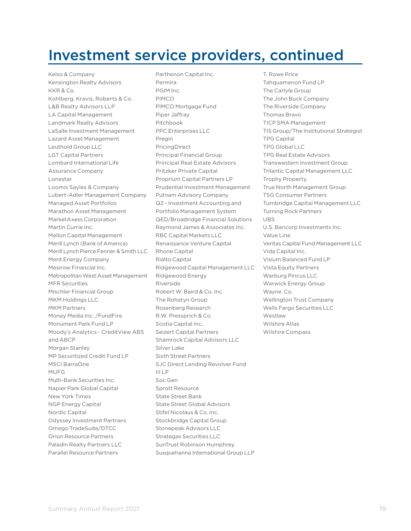### Investment service providers, continued

Kelso & Company Kensington Realty Advisors KKR & Co. Kohlberg, Kravis, Roberts & Co. L&B Realty Advisors LLP LA Capital Management Landmark Realty Advisors LaSalle Investment Management Lazard Asset Management Leuthold Group LLC LGT Capital Partners Lombard International Life Assurance Company Lonestar Loomis Sayles & Company Lubert–Adler Management Company Managed Asset Portfolios Marathon Asset Management MarketAxess Corporation Martin Currie Inc. Mellon Capital Management Merill Lynch (Bank of America) Merill Lynch Pierce Fenner & Smith LLC Merit Energy Company Mesirow Financial Inc. Metropolitan West Asset Management MFR Securities Mischler Financial Group MKM Holdings LLC MKM Partners Money Media Inc. /FundFire Monument Park Fund LP Moody's Analytics - CreditView ABS and ABCP Morgan Stanley MP Securitized Credit Fund LP MSCI BarraOne MUFG Multi-Bank Securities Inc. Napier Park Global Capital New York Times NGP Energy Capital Nordic Capital Odyssey Investment Partners Omego TradeSuite/DTCC Orion Resource Partners Paladin Realty Partners LLC Parallel Resource Partners

Parthenon Capital Inc. Permira PGIM Inc. PIMCO PIMCO Mortgage Fund Piper Jaffray Pitchbook PPC Enterprises LLC Pregin PricingDirect Principal Financial Group Principal Real Estate Advisors Pritzker Private Capital Proprium Capital Partners LP Prudential Investment Management Putnam Advisory Company Q2 - Investment Accounting and Portfolio Management System QED/Broadridge Financial Solutions Raymond James & Associates Inc. RBC Capital Markets LLC Renaissance Venture Capital Rhone Capital Rialto Capital Ridgewood Capital Management LLC Ridgewood Energy Riverside Robert W. Baird & Co. Inc. The Rohatyn Group Rosenberg Research R.W. Pressprich & Co. Scotia Capital Inc. Seizert Capital Partners Shamrock Capital Advisors LLC Silver Lake Sixth Street Partners SJC Direct Lending Revolver Fund III LP Soc Gen Sprott Resource State Street Bank State Street Global Advisors Stifel Nicolaus & Co. Inc. Stockbridge Capital Group Stonepeak Advisors LLC Strategas Securities LLC SunTrust Robinson Humphrey Susquehanna International Group LLP

T. Rowe Price Tahquamenon Fund LP The Carlyle Group The John Buck Company The Riverside Company Thomas Bravo TICP SMA Management TIS Group/The Institutional Strategist TPG Capital TPG Global LLC TPG Real Estate Advisors Transwestern Investment Group Trilantic Capital Management LLC Trophy Property True North Management Group TSG Consumer Partners Turnbridge Capital Management LLC Turning Rock Partners UBS U.S. Bancorp Investments Inc. Value Line Veritas Capital Fund Management LLC Vida Capital Inc. Visium Balanced Fund LP Vista Equity Partners Warburg Pincus LLC Warwick Energy Group Wayne Co. Wellington Trust Company Wells Fargo Securities LLC Westlaw Wilshire Atlas Wilshire Compass